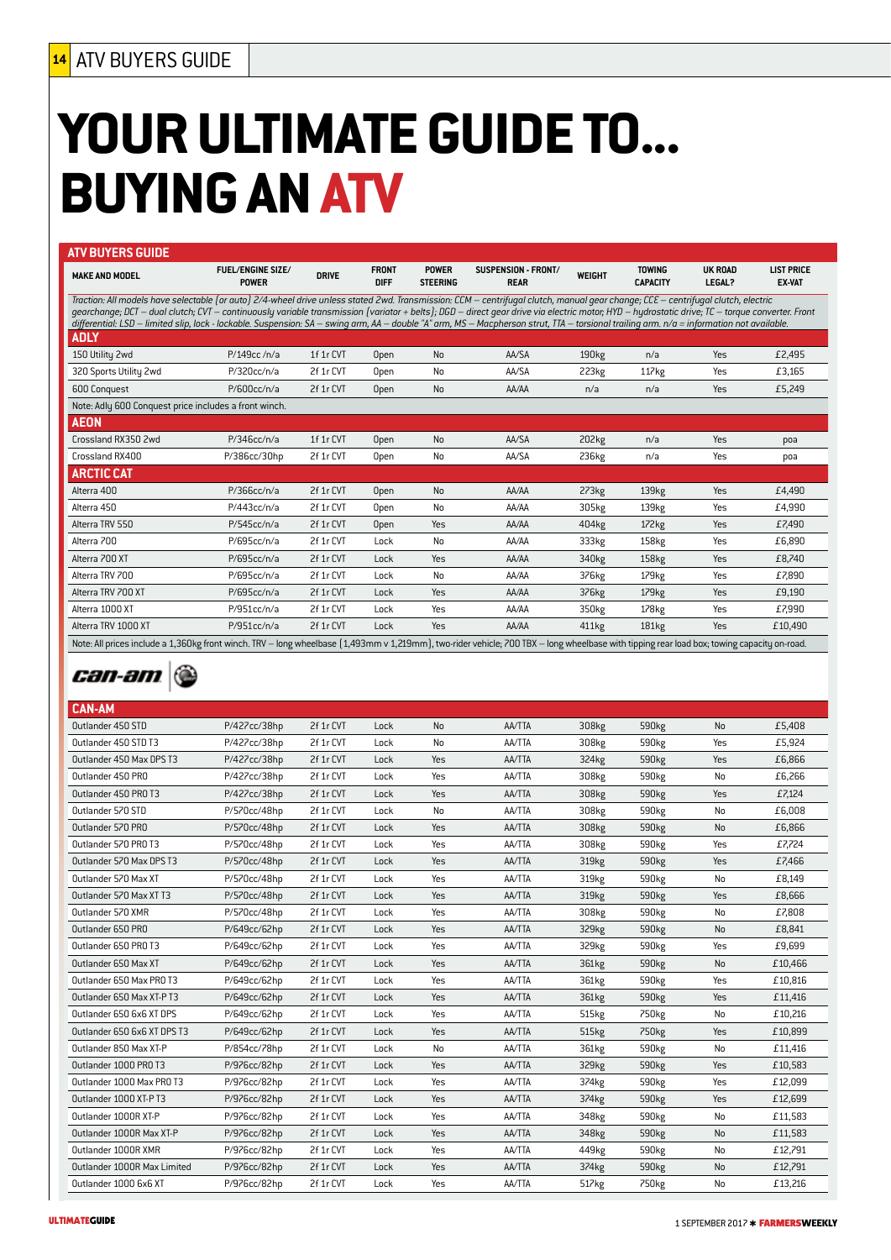# **YOUR ULTIMATE GUIDE TO... BUYING AN ATV**

| <b>MAKE AND MODEL</b>                                                                                                                                                                                                                                                                                                                                                                                                                                                                                                                                                          | <b>FUEL/ENGINE SIZE/</b><br><b>POWER</b> | <b>DRIVE</b> | <b>FRONT</b><br><b>DIFF</b> | <b>POWER</b><br><b>STEERING</b> | SUSPENSION - FRONT/<br><b>REAR</b> | WEIGHT            | <b>TOWING</b><br><b>CAPACITY</b> | <b>UK ROAD</b><br><b>LEGAL?</b> | <b>LIST PRICE</b><br><b>EX-VAT</b> |
|--------------------------------------------------------------------------------------------------------------------------------------------------------------------------------------------------------------------------------------------------------------------------------------------------------------------------------------------------------------------------------------------------------------------------------------------------------------------------------------------------------------------------------------------------------------------------------|------------------------------------------|--------------|-----------------------------|---------------------------------|------------------------------------|-------------------|----------------------------------|---------------------------------|------------------------------------|
| Traction: All models have selectable (or auto) 2/4-wheel drive unless stated 2wd. Transmission: CCM – centrifugal clutch, manual gear change; CCE – centrifugal clutch, electric<br>gearchange; DCT – dual clutch; CVT – continuously variable transmission (variator + belts); DGD – direct gear drive via electric motor; HYD – hydrostatic drive; TC – torque converter. Front<br>differential: LSD – limited slip, lock - lockable. Suspension: SA – swing arm, AA – double "A" arm, MS – Macpherson strut, TTA – torsional trailing arm. n/a = information not available. |                                          |              |                             |                                 |                                    |                   |                                  |                                 |                                    |
| <b>ADLY</b>                                                                                                                                                                                                                                                                                                                                                                                                                                                                                                                                                                    |                                          |              |                             |                                 |                                    |                   |                                  |                                 |                                    |
| 150 Utility 2wd                                                                                                                                                                                                                                                                                                                                                                                                                                                                                                                                                                | P/149cc/n/a                              | 1f 1r CVT    | Open                        | <b>No</b>                       | AA/SA                              | 190 <sub>kg</sub> | n/a                              | Yes                             | £2,495                             |
| 320 Sports Utility 2wd                                                                                                                                                                                                                                                                                                                                                                                                                                                                                                                                                         | P/320cc/n/a                              | 2f 1r CVT    | Open                        | No                              | AA/SA                              | 223kg             | 117kg                            | Yes                             | £3,165                             |
| 600 Conquest                                                                                                                                                                                                                                                                                                                                                                                                                                                                                                                                                                   | P/600cc/n/a                              | 2f 1r CVT    | <b>Open</b>                 | <b>No</b>                       | AA/AA                              | n/a               | n/a                              | Yes                             | £5,249                             |
| Note: Adly 600 Conquest price includes a front winch.                                                                                                                                                                                                                                                                                                                                                                                                                                                                                                                          |                                          |              |                             |                                 |                                    |                   |                                  |                                 |                                    |
| <b>AEON</b>                                                                                                                                                                                                                                                                                                                                                                                                                                                                                                                                                                    |                                          |              |                             |                                 |                                    |                   |                                  |                                 |                                    |
| Crossland RX350 2wd                                                                                                                                                                                                                                                                                                                                                                                                                                                                                                                                                            | P/346cc/n/a                              | 1f 1r CVT    | Open                        | No                              | AA/SA                              | 202kg             | n/a                              | Yes                             | poa                                |
| Crossland RX400                                                                                                                                                                                                                                                                                                                                                                                                                                                                                                                                                                | P/386cc/30hp                             | 2f 1r CVT    | Open                        | No                              | AA/SA                              | 236kg             | n/a                              | Yes                             | poa                                |
| <b>ARCTIC CAT</b>                                                                                                                                                                                                                                                                                                                                                                                                                                                                                                                                                              |                                          |              |                             |                                 |                                    |                   |                                  |                                 |                                    |
| Alterra 400                                                                                                                                                                                                                                                                                                                                                                                                                                                                                                                                                                    | P/366cc/n/a                              | 2f 1r CVT    | Open                        | No                              | AA/AA                              | 273kg             | 139kg                            | Yes                             | £4,490                             |
| Alterra 450                                                                                                                                                                                                                                                                                                                                                                                                                                                                                                                                                                    | P/443cc/n/a                              | 2f 1r CVT    | Open                        | No                              | AA/AA                              | 305kg             | 139kg                            | Yes                             | £4,990                             |
| Alterra TRV 550                                                                                                                                                                                                                                                                                                                                                                                                                                                                                                                                                                | P/545cc/n/a                              | 2f 1r CVT    | Open                        | Yes                             | AA/AA                              | 404kg             | 172kg                            | Yes                             | £7,490                             |
| Alterra 700                                                                                                                                                                                                                                                                                                                                                                                                                                                                                                                                                                    | P/695cc/n/a                              | 2f 1r CVT    | Lock                        | No                              | AA/AA                              | 333kg             | 158kg                            | Yes                             | £6,890                             |
| Alterra 700 XT                                                                                                                                                                                                                                                                                                                                                                                                                                                                                                                                                                 | P/695cc/n/a                              | 2f 1r CVT    | Lock                        | Yes                             | AA/AA                              | 340kg             | 158kg                            | Yes                             | £8,740                             |
| Alterra TRV 700                                                                                                                                                                                                                                                                                                                                                                                                                                                                                                                                                                | P/695cc/n/a                              | 2f 1r CVT    | Lock                        | No                              | AA/AA                              | 376kg             | 179 <sub>kg</sub>                | Yes                             | £7,890                             |
| Alterra TRV 700 XT                                                                                                                                                                                                                                                                                                                                                                                                                                                                                                                                                             | P/695cc/n/a                              | 2f 1r CVT    | Lock                        | Yes                             | AA/AA                              | 376kg             | 179 <sub>kg</sub>                | Yes                             | £9,190                             |
| Alterra 1000 XT                                                                                                                                                                                                                                                                                                                                                                                                                                                                                                                                                                | P/951cc/n/a                              | 2f 1r CVT    | Lock                        | Yes                             | AA/AA                              | 350kg             | 178kg                            | Yes                             | £7,990                             |
| Alterra TRV 1000 XT                                                                                                                                                                                                                                                                                                                                                                                                                                                                                                                                                            | P/951cc/n/a                              | 2f 1r CVT    | Lock                        | Yes                             | AA/AA                              | 411kg             | 181kg                            | Yes                             | £10,490                            |

### *can-am*

| <b>LAN-AM</b>               |              |           |      |           |               |                   |                   |     |         |
|-----------------------------|--------------|-----------|------|-----------|---------------|-------------------|-------------------|-----|---------|
| Outlander 450 STD           | P/427cc/38hp | 2f 1r CVT | Lock | <b>No</b> | <b>AA/TTA</b> | 308kg             | 590 <sub>kg</sub> | No  | £5,408  |
| Outlander 450 STD T3        | P/427cc/38hp | 2f 1r CVT | Lock | No        | AA/TTA        | 308kg             | 590 <sub>kg</sub> | Yes | £5,924  |
| Outlander 450 Max DPS T3    | P/427cc/38hp | 2f 1r CVT | Lock | Yes       | <b>AA/TTA</b> | 324kg             | 590kg             | Yes | £6,866  |
| Outlander 450 PRO           | P/427cc/38hp | 2f 1r CVT | Lock | Yes       | AA/TTA        | 308kg             | 590 <sub>kg</sub> | No  | £6,266  |
| Outlander 450 PRO T3        | P/427cc/38hp | 2f 1r CVT | Lock | Yes       | AA/TTA        | 308kg             | 590kg             | Yes | £7,124  |
| Outlander 570 STD           | P/570cc/48hp | 2f 1r CVT | Lock | No        | AA/TTA        | 308kg             | 590 <sub>kg</sub> | No  | £6,008  |
| Outlander 570 PRO           | P/570cc/48hp | 2f 1r CVT | Lock | Yes       | AA/TTA        | 308kg             | 590kg             | No  | £6,866  |
| Outlander 570 PRO T3        | P/570cc/48hp | 2f 1r CVT | Lock | Yes       | AA/TTA        | 308kg             | 590 <sub>kg</sub> | Yes | £7,724  |
| Outlander 570 Max DPS T3    | P/570cc/48hp | 2f 1r CVT | Lock | Yes       | <b>AA/TTA</b> | 319 <sub>kg</sub> | 590kg             | Yes | £7,466  |
| Outlander 570 Max XT        | P/570cc/48hp | 2f 1r CVT | Lock | Yes       | AA/TTA        | 319 <sub>kg</sub> | 590 <sub>kg</sub> | No  | £8,149  |
| Outlander 570 Max XT T3     | P/570cc/48hp | 2f 1r CVT | Lock | Yes       | <b>AA/TTA</b> | 319 <sub>kg</sub> | 590kg             | Yes | £8,666  |
| Outlander 570 XMR           | P/570cc/48hp | 2f 1r CVT | Lock | Yes       | AA/TTA        | 308kg             | 590 <sub>kg</sub> | No  | £7,808  |
| Outlander 650 PRO           | P/649cc/62hp | 2f 1r CVT | Lock | Yes       | AA/TTA        | 329kg             | 590 <sub>kg</sub> | No  | £8,841  |
| Outlander 650 PRO T3        | P/649cc/62hp | 2f 1r CVT | Lock | Yes       | AA/TTA        | 329 <sub>kg</sub> | 590 <sub>kg</sub> | Yes | £9,699  |
| Outlander 650 Max XT        | P/649cc/62hp | 2f 1r CVT | Lock | Yes       | AA/TTA        | 361kg             | 590 <sub>kg</sub> | No  | £10,466 |
| Outlander 650 Max PRO T3    | P/649cc/62hp | 2f 1r CVT | Lock | Yes       | AA/TTA        | 361kg             | 590 <sub>kg</sub> | Yes | £10,816 |
| Outlander 650 Max XT-P T3   | P/649cc/62hp | 2f 1r CVT | Lock | Yes       | AA/TTA        | 361kg             | 590 <sub>kg</sub> | Yes | £11,416 |
| Outlander 650 6x6 XT DPS    | P/649cc/62hp | 2f 1r CVT | Lock | Yes       | AA/TTA        | 515kg             | 750 <sub>kg</sub> | No  | £10,216 |
| Outlander 650 6x6 XT DPS T3 | P/649cc/62hp | 2f 1r CVT | Lock | Yes       | AA/TTA        | 515kg             | 750 <sub>kg</sub> | Yes | £10,899 |
| Outlander 850 Max XT-P      | P/854cc/78hp | 2f 1r CVT | Lock | No        | AA/TTA        | 361kg             | 590 <sub>kg</sub> | No  | £11,416 |
| Outlander 1000 PRO T3       | P/976cc/82hp | 2f 1r CVT | Lock | Yes       | AA/TTA        | 329 <sub>kg</sub> | 590 <sub>kg</sub> | Yes | £10,583 |
| Outlander 1000 Max PRO T3   | P/976cc/82hp | 2f 1r CVT | Lock | Yes       | AA/TTA        | 374kg             | 590 <sub>kg</sub> | Yes | £12,099 |
| Outlander 1000 XT-P T3      | P/976cc/82hp | 2f 1r CVT | Lock | Yes       | AA/TTA        | 374kg             | 590 <sub>kg</sub> | Yes | £12,699 |
| Outlander 1000R XT-P        | P/976cc/82hp | 2f 1r CVT | Lock | Yes       | AA/TTA        | 348kg             | 590 <sub>kg</sub> | No  | £11,583 |
| Outlander 1000R Max XT-P    | P/976cc/82hp | 2f 1r CVT | Lock | Yes       | AA/TTA        | 348kg             | 590 <sub>kg</sub> | No  | £11,583 |
| Outlander 1000R XMR         | P/976cc/82hp | 2f 1r CVT | Lock | Yes       | AA/TTA        | 449kg             | 590 <sub>kg</sub> | No  | £12,791 |
| Outlander 1000R Max Limited | P/976cc/82hp | 2f 1r CVT | Lock | Yes       | AA/TTA        | 374 <sub>kg</sub> | 590 <sub>kg</sub> | No  | £12,791 |
| Outlander 1000 6x6 XT       | P/976cc/82hp | 2f 1r CVT | Lock | Yes       | AA/TTA        | 517kg             | 750kg             | No  | £13,216 |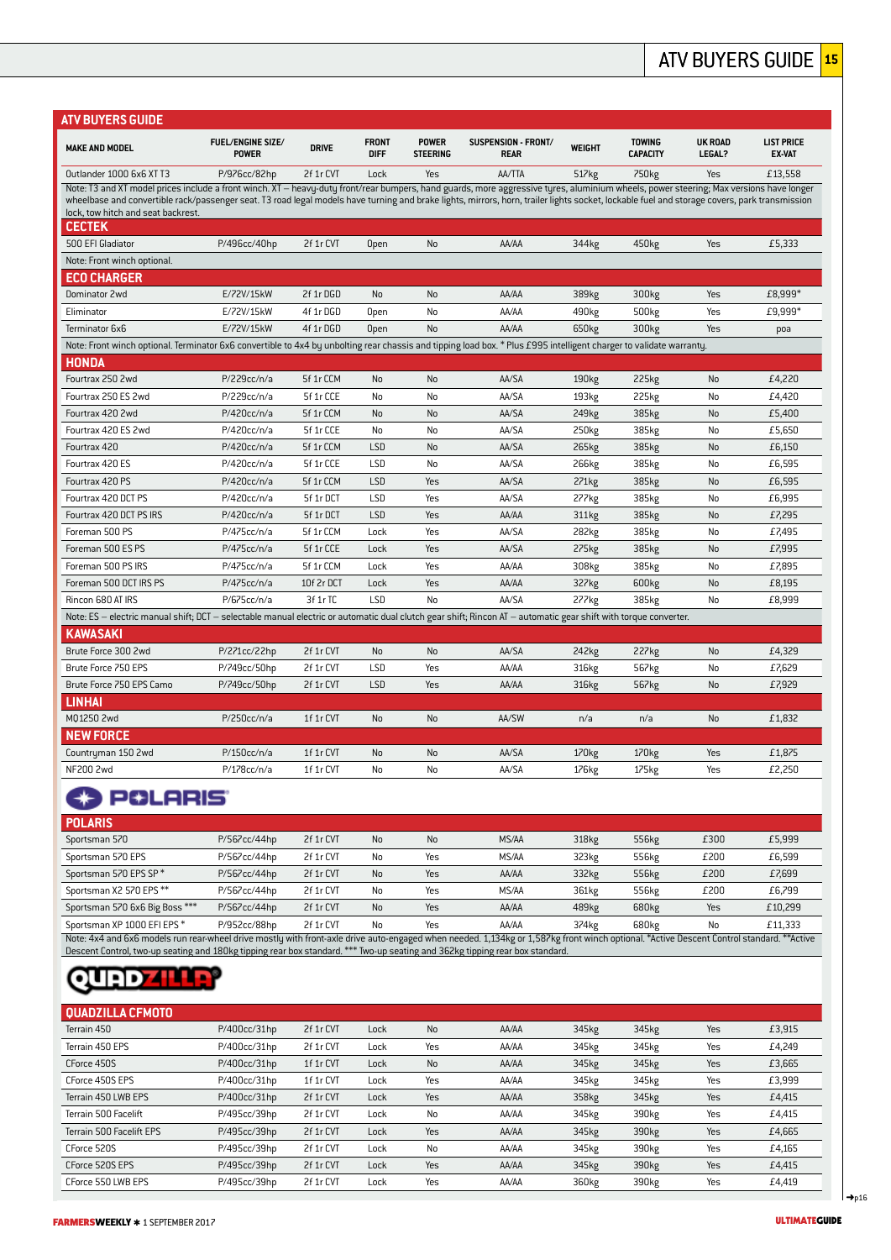### ATV BUYERS GUIDE **<sup>15</sup>**

| ATV BUYERS GUIDE                                                                                                                                                                                                                                                                                                                                                                                                             |                                          |              |                             |                                 |                                    |                   |                                  |                          |                                    |
|------------------------------------------------------------------------------------------------------------------------------------------------------------------------------------------------------------------------------------------------------------------------------------------------------------------------------------------------------------------------------------------------------------------------------|------------------------------------------|--------------|-----------------------------|---------------------------------|------------------------------------|-------------------|----------------------------------|--------------------------|------------------------------------|
| <b>MAKE AND MODEL</b>                                                                                                                                                                                                                                                                                                                                                                                                        | <b>FUEL/ENGINE SIZE/</b><br><b>POWER</b> | <b>DRIVE</b> | <b>FRONT</b><br><b>DIFF</b> | <b>POWER</b><br><b>STEERING</b> | SUSPENSION - FRONT/<br><b>REAR</b> | WEIGHT            | <b>TOWING</b><br><b>CAPACITY</b> | <b>UK ROAD</b><br>LEGAL? | <b>LIST PRICE</b><br><b>EX-VAT</b> |
| Outlander 1000 6x6 XT T3                                                                                                                                                                                                                                                                                                                                                                                                     | P/976cc/82hp                             | 2f 1r CVT    | Lock                        | Yes                             | AA/TTA                             | 517 <sub>kg</sub> | 750 <sub>kg</sub>                | Yes                      | £13,558                            |
| Note: T3 and XT model prices include a front winch. XT - heavy-duty front/rear bumpers, hand guards, more aggressive tyres, aluminium wheels, power steering; Max versions have longer<br>wheelbase and convertible rack/passenger seat. T3 road legal models have turning and brake lights, mirrors, horn, trailer lights socket, lockable fuel and storage covers, park transmission<br>lock, tow hitch and seat backrest. |                                          |              |                             |                                 |                                    |                   |                                  |                          |                                    |
| <b>CECTEK</b>                                                                                                                                                                                                                                                                                                                                                                                                                |                                          |              |                             |                                 |                                    |                   |                                  |                          |                                    |
| 500 EFI Gladiator                                                                                                                                                                                                                                                                                                                                                                                                            | P/496cc/40hp                             | 2f 1r CVT    | Open                        | No                              | AA/AA                              | 344kg             | 450kg                            | Yes                      | £5.333                             |
| Note: Front winch optional.                                                                                                                                                                                                                                                                                                                                                                                                  |                                          |              |                             |                                 |                                    |                   |                                  |                          |                                    |
| ECO CHARGER                                                                                                                                                                                                                                                                                                                                                                                                                  |                                          |              |                             |                                 |                                    |                   |                                  |                          |                                    |
| Dominator 2wd                                                                                                                                                                                                                                                                                                                                                                                                                | E/72V/15kW                               | 2f 1r DGD    | <b>No</b>                   | No                              | AA/AA                              | 389 <sub>kg</sub> | 300 <sub>kg</sub>                | Yes                      | £8,999*                            |
| Eliminator                                                                                                                                                                                                                                                                                                                                                                                                                   | E/72V/15kW                               | 4f 1r DGD    | Open                        | No                              | AA/AA                              | 490kg             | 500 <sub>kg</sub>                | Yes                      | £9,999*                            |
| Terminator 6x6                                                                                                                                                                                                                                                                                                                                                                                                               | E/72V/15kW                               | 4f 1r DGD    | Open                        | <b>No</b>                       | AA/AA                              | 650 <sub>kg</sub> | 300 <sub>kg</sub>                | Yes                      | poa                                |
| Note: Front winch optional. Terminator 6x6 convertible to 4x4 by unbolting rear chassis and tipping load box. * Plus £995 intelligent charger to validate warranty.<br>HONDA                                                                                                                                                                                                                                                 |                                          |              |                             |                                 |                                    |                   |                                  |                          |                                    |
| Fourtrax 250 2wd                                                                                                                                                                                                                                                                                                                                                                                                             | P/229cc/n/a                              | 5f 1r CCM    | No                          | No                              | AA/SA                              | 190 <sub>kg</sub> | 225kg                            | No                       | £4,220                             |
| Fourtrax 250 ES 2wd                                                                                                                                                                                                                                                                                                                                                                                                          | P/229cc/n/a                              | 5f 1r CCE    | No                          | No                              | AA/SA                              | 193 <sub>kg</sub> | 225kg                            | No                       | £4,420                             |
| Fourtrax 420 2wd                                                                                                                                                                                                                                                                                                                                                                                                             | P/420cc/n/a                              | 5f 1r CCM    | <b>No</b>                   | No                              | AA/SA                              | 249 <sub>kg</sub> | 385kg                            | <b>No</b>                | £5,400                             |
| Fourtrax 420 ES 2wd                                                                                                                                                                                                                                                                                                                                                                                                          | P/420cc/n/a                              | 5f 1r CCE    | No                          | No                              | AA/SA                              | 250 <sub>kg</sub> | 385kg                            | No                       | £5,650                             |
| Fourtrax 420                                                                                                                                                                                                                                                                                                                                                                                                                 | P/420cc/n/a                              | 5f 1r CCM    | <b>LSD</b>                  | No                              | AA/SA                              | 265 <sub>kg</sub> | 385kg                            | No                       | £6,150                             |
| Fourtrax 420 ES                                                                                                                                                                                                                                                                                                                                                                                                              | P/420cc/n/a                              | 5f 1r CCE    | LSD                         | No                              | AA/SA                              | 266kg             | 385kg                            | No                       | £6,595                             |
| Fourtrax 420 PS                                                                                                                                                                                                                                                                                                                                                                                                              | P/420cc/n/a                              | 5f 1r CCM    | <b>LSD</b>                  | Yes                             | AA/SA                              | 271 <sub>kg</sub> | 385kg                            | No                       | £6,595                             |
| Fourtrax 420 DCT PS                                                                                                                                                                                                                                                                                                                                                                                                          | P/420cc/n/a                              | 5f 1r DCT    | <b>LSD</b>                  | Yes                             | AA/SA                              | 277 <sub>kg</sub> | 385kg                            | No                       | £6,995                             |
| Fourtrax 420 DCT PS IRS                                                                                                                                                                                                                                                                                                                                                                                                      | P/420cc/n/a                              | 5f 1r DCT    | <b>LSD</b>                  | Yes                             | AA/AA                              | 311kg             | 385kg                            | <b>No</b>                | £7,295                             |
| Foreman 500 PS                                                                                                                                                                                                                                                                                                                                                                                                               | P/475cc/n/a                              | 5f 1r CCM    | Lock                        | Yes                             | AA/SA                              | 282kg             | 385kg                            | No                       | £7,495                             |
| Foreman 500 ES PS                                                                                                                                                                                                                                                                                                                                                                                                            | P/475cc/n/a                              | 5f 1r CCE    | Lock                        | Yes                             | AA/SA                              | 275kg             | 385kg                            | No                       | £7,995                             |
| Foreman 500 PS IRS                                                                                                                                                                                                                                                                                                                                                                                                           | P/475cc/n/a                              | 5f 1r CCM    | Lock                        | Yes                             | AA/AA                              | 308kg             | 385kg                            | No                       | £7,895                             |
| Foreman 500 DCT IRS PS                                                                                                                                                                                                                                                                                                                                                                                                       | P/475cc/n/a                              | 10f 2r DCT   | Lock                        | Yes                             | AA/AA                              | 327 <sub>kg</sub> | 600 <sub>kg</sub>                | No                       | £8,195                             |
| Rincon 680 AT IRS                                                                                                                                                                                                                                                                                                                                                                                                            | P/675cc/n/a                              | 3f 1r TC     | LSD                         | No                              | AA/SA                              | 277kg             | 385kg                            | No                       | £8,999                             |
| Note: ES – electric manual shift; DCT – selectable manual electric or automatic dual clutch gear shift; Rincon AT – automatic gear shift with torque converter.                                                                                                                                                                                                                                                              |                                          |              |                             |                                 |                                    |                   |                                  |                          |                                    |
| KAWASAKI                                                                                                                                                                                                                                                                                                                                                                                                                     |                                          |              |                             |                                 |                                    |                   |                                  |                          |                                    |
| Brute Force 300 2wd                                                                                                                                                                                                                                                                                                                                                                                                          | P/271cc/22hp                             | 2f 1r CVT    | No                          | No                              | AA/SA                              | 242kg             | 227 <sub>kg</sub>                | No                       | £4,329                             |
| Brute Force 750 EPS                                                                                                                                                                                                                                                                                                                                                                                                          | P/749cc/50hp                             | 2f 1r CVT    | LSD                         | Yes                             | AA/AA                              | 316kg             | 567 <sub>kg</sub>                | No                       | £7,629                             |
| Brute Force 750 EPS Camo                                                                                                                                                                                                                                                                                                                                                                                                     | P/749cc/50hp                             | 2f 1r CVT    | <b>LSD</b>                  | Yes                             | AA/AA                              | 316kg             | 567kg                            | No                       | £7,929                             |
| <b>LINHAI</b>                                                                                                                                                                                                                                                                                                                                                                                                                |                                          |              |                             |                                 |                                    |                   |                                  |                          |                                    |
| M01250 2wd                                                                                                                                                                                                                                                                                                                                                                                                                   | P/250cc/n/a                              | 1f 1r CVT    | <b>No</b>                   | No                              | AA/SW                              | n/a               | n/a                              | No                       | £1,832                             |
| <b>NEW FORCE</b>                                                                                                                                                                                                                                                                                                                                                                                                             |                                          |              |                             |                                 |                                    |                   |                                  |                          |                                    |
| Countryman 150 2wd                                                                                                                                                                                                                                                                                                                                                                                                           | P/150cc/n/a                              | 1f 1r CVT    | No                          | No                              | AA/SA                              | 170 <sub>kg</sub> | 170 <sub>kg</sub>                | Yes                      | £1,875                             |
| NF200 2wd                                                                                                                                                                                                                                                                                                                                                                                                                    | P/178cc/n/a                              | 1f 1r CVT    | No                          | No                              | AA/SA                              | 176kg             | 175kg                            | Yes                      | £2,250                             |

### **CD POLARIS**

| <b>POLARIS</b>                                                                                                                                                                           |              |           |           |     |       |       |       |      |         |  |  |
|------------------------------------------------------------------------------------------------------------------------------------------------------------------------------------------|--------------|-----------|-----------|-----|-------|-------|-------|------|---------|--|--|
| Sportsman 570                                                                                                                                                                            | P/567cc/44hp | 2f 1r CVT | <b>No</b> | No  | MS/AA | 318kg | 556kg | £300 | £5,999  |  |  |
| Sportsman 570 EPS                                                                                                                                                                        | P/567cc/44hp | 2f 1r CVT | No        | Yes | MS/AA | 323kg | 556kg | £200 | £6,599  |  |  |
| Sportsman 570 EPS SP*                                                                                                                                                                    | P/567cc/44hp | 2f 1r CVT | <b>No</b> | Yes | AA/AA | 332kg | 556kg | £200 | £7,699  |  |  |
| Sportsman X2 570 EPS**                                                                                                                                                                   | P/567cc/44hp | 2f 1r CVT | No        | Yes | MS/AA | 361kg | 556kg | £200 | £6,799  |  |  |
| Sportsman 570 6x6 Big Boss ***                                                                                                                                                           | P/567cc/44hp | 2f 1r CVT | <b>No</b> | Yes | AA/AA | 489kg | 680kg | Yes  | £10,299 |  |  |
| Sportsman XP 1000 EFI EPS*                                                                                                                                                               | P/952cc/88hp | 2f 1r CVT | No        | Yes | AA/AA | 374kg | 680kg | No   | £11.333 |  |  |
| Note: 4x4 and 6x6 models run rear-wheel drive mostly with front-axle drive auto-engaged when needed. 1,134kg or 1,587kg front winch optional. *Active Descent Control standard. **Active |              |           |           |     |       |       |       |      |         |  |  |

Descent Control, two-up seating and 180kg tipping rear box standard. \*\*\* Two-up seating and 362kg tipping rear box standard.

## **QUED THE?**

| OUADZILLA CFMOTO         |                 |           |      |           |       |       |                   |     |        |
|--------------------------|-----------------|-----------|------|-----------|-------|-------|-------------------|-----|--------|
| Terrain 450              | P/400cc/31hp    | 2f 1r CVT | Lock | <b>No</b> | AA/AA | 345kg | 345kg             | Yes | £3,915 |
| Terrain 450 EPS          | P/400cc/31hp    | 2f 1r CVT | Lock | Yes       | AA/AA | 345kg | 345kg             | Yes | £4,249 |
| CForce 450S              | P/400cc/31hp    | 1f 1r CVT | Lock | No        | AA/AA | 345kg | 345kg             | Yes | £3,665 |
| CForce 450S EPS          | P/400cc/31hp    | 1f 1r CVT | Lock | Yes       | AA/AA | 345kg | 345kg             | Yes | £3,999 |
| Terrain 450 LWB EPS      | $P/400cc/31$ hp | 2f 1r CVT | Lock | Yes       | AA/AA | 358kg | 345kg             | Yes | £4,415 |
| Terrain 500 Facelift     | P/495cc/39hp    | 2f 1r CVT | Lock | No        | AA/AA | 345kg | 390kg             | Yes | £4,415 |
| Terrain 500 Facelift EPS | P/495cc/39hp    | 2f 1r CVT | Lock | Yes       | AA/AA | 345kg | 390kg             | Yes | £4,665 |
| CForce 520S              | P/495cc/39hp    | 2f 1r CVT | Lock | No        | AA/AA | 345kg | 390 <sub>kg</sub> | Yes | £4,165 |
| CForce 520S EPS          | P/495cc/39hp    | 2f 1r CVT | Lock | Yes       | AA/AA | 345kg | 390kg             | Yes | £4,415 |
| CForce 550 LWB EPS       | P/495cc/39hp    | 2f 1r CVT | Lock | Yes       | AA/AA | 360kg | 390kg             | Yes | £4,419 |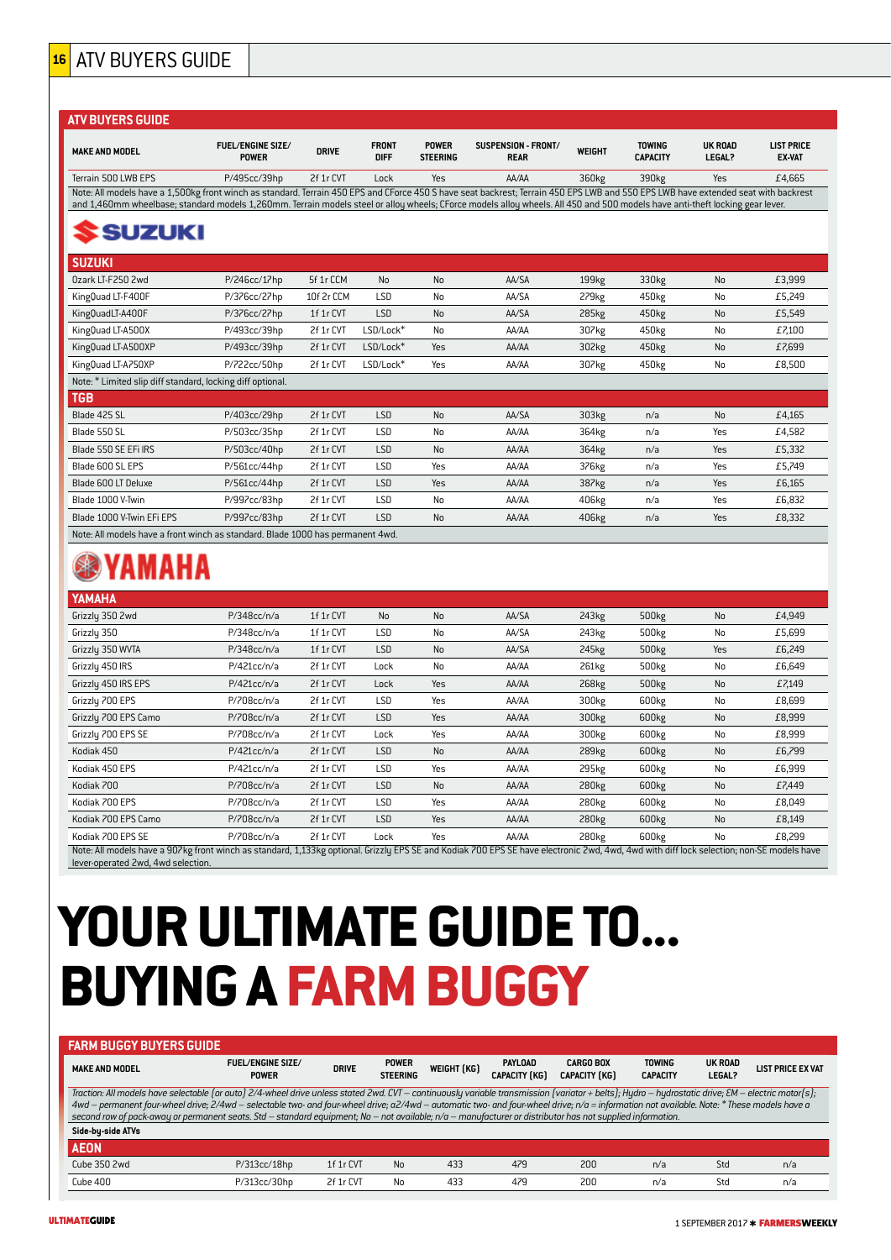### **<sup>16</sup>** ATV BUYERS GUIDE

| <b>ATV BUYERS GUIDE</b>                                                                                                                                                            |                                          |              |                             |                                 |                                    |                   |                                  |                                 |                                    |
|------------------------------------------------------------------------------------------------------------------------------------------------------------------------------------|------------------------------------------|--------------|-----------------------------|---------------------------------|------------------------------------|-------------------|----------------------------------|---------------------------------|------------------------------------|
| <b>MAKE AND MODEL</b>                                                                                                                                                              | <b>FUEL/ENGINE SIZE/</b><br><b>POWER</b> | <b>DRIVE</b> | <b>FRONT</b><br><b>DIFF</b> | <b>POWER</b><br><b>STEERING</b> | SUSPENSION - FRONT/<br><b>REAR</b> | <b>WEIGHT</b>     | <b>TOWING</b><br><b>CAPACITY</b> | <b>UK ROAD</b><br><b>LEGAL?</b> | <b>LIST PRICE</b><br><b>EX-VAT</b> |
| Terrain 500 LWB EPS                                                                                                                                                                | P/495cc/39hp                             | 2f 1r CVT    | $L$ ock                     | <b>Yes</b>                      | AA/AA                              | 360kg             | 390kg                            | Yes                             | £4,665                             |
| Note: All models have a 1,500kg front winch as standard. Terrain 450 EPS and CForce 450 S have seat backrest; Terrain 450 EPS LWB and 550 EPS LWB have extended seat with backrest |                                          |              |                             |                                 |                                    |                   |                                  |                                 |                                    |
| and 1,460mm wheelbase; standard models 1,260mm. Terrain models steel or alloy wheels; CForce models alloy wheels. All 450 and 500 models have anti-theft locking gear lever.       |                                          |              |                             |                                 |                                    |                   |                                  |                                 |                                    |
| <b>SSUZUKI</b>                                                                                                                                                                     |                                          |              |                             |                                 |                                    |                   |                                  |                                 |                                    |
| <b>SUZUKI</b>                                                                                                                                                                      |                                          |              |                             |                                 |                                    |                   |                                  |                                 |                                    |
| Ozark LT-F250 2wd                                                                                                                                                                  | P/246cc/17hp                             | 5f 1r CCM    | <b>No</b>                   | <b>No</b>                       | AA/SA                              | 199 <sub>kg</sub> | 330kg                            | No                              | £3,999                             |
| KingQuad LT-F400F                                                                                                                                                                  | P/376cc/27hp                             | 10f 2r CCM   | <b>LSD</b>                  | No                              | AA/SA                              | 279 <sub>kg</sub> | 450kg                            | No                              | £5,249                             |
| KingQuadLT-A400F                                                                                                                                                                   | P/376cc/27hp                             | 1f 1r CVT    | LSD                         | <b>No</b>                       | AA/SA                              | 285kg             | 450 <sub>kg</sub>                | No                              | £5,549                             |
| KingQuad LT-A500X                                                                                                                                                                  | P/493cc/39hp                             | 2f 1r CVT    | LSD/Lock*                   | <b>No</b>                       | AA/AA                              | 307kg             | 450kg                            | No                              | £7,100                             |
| KingQuad LT-A500XP                                                                                                                                                                 | P/493cc/39hp                             | 2f 1r CVT    | LSD/Lock*                   | Yes                             | AA/AA                              | 302kg             | 450kg                            | <b>No</b>                       | £7,699                             |
| KingQuad LT-A750XP                                                                                                                                                                 | P/722cc/50hp                             | 2f 1r CVT    | LSD/Lock*                   | Yes                             | AA/AA                              | 307kg             | 450kg                            | No                              | £8.500                             |
| Note: * Limited slip diff standard, locking diff optional.                                                                                                                         |                                          |              |                             |                                 |                                    |                   |                                  |                                 |                                    |
| <b>TGB</b>                                                                                                                                                                         |                                          |              |                             |                                 |                                    |                   |                                  |                                 |                                    |
| Blade 425 SL                                                                                                                                                                       | P/403cc/29hp                             | 2f 1r CVT    | LSD                         | <b>No</b>                       | AA/SA                              | 303kg             | n/a                              | <b>No</b>                       | £4,165                             |
| Blade 550 SL                                                                                                                                                                       | P/503cc/35hp                             | 2f 1r CVT    | <b>LSD</b>                  | No                              | AA/AA                              | 364kg             | n/a                              | Yes                             | £4,582                             |
| Blade 550 SE EFi IRS                                                                                                                                                               | P/503cc/40hp                             | 2f 1r CVT    | LSD                         | <b>No</b>                       | AA/AA                              | 364kg             | n/a                              | Yes                             | £5,332                             |
| Blade 600 SL EPS                                                                                                                                                                   | P/561cc/44hp                             | 2f 1r CVT    | LSD                         | Yes                             | AA/AA                              | 376kg             | n/a                              | Yes                             | £5,749                             |
| Blade 600 LT Deluxe                                                                                                                                                                | P/561cc/44hp                             | 2f 1r CVT    | LSD                         | Yes                             | AA/AA                              | 387kg             | n/a                              | Yes                             | £6,165                             |
| Blade 1000 V-Twin                                                                                                                                                                  | P/997cc/83hp                             | 2f 1r CVT    | <b>LSD</b>                  | <b>No</b>                       | AA/AA                              | 406kg             | n/a                              | Yes                             | £6,832                             |
| Blade 1000 V-Twin EFi EPS                                                                                                                                                          | P/997cc/83hp                             | 2f 1r CVT    | LSD                         | <b>No</b>                       | AA/AA                              | 406kg             | n/a                              | Yes                             | £8,332                             |
| Note: All models have a front winch as standard. Blade 1000 has permanent 4wd.                                                                                                     |                                          |              |                             |                                 |                                    |                   |                                  |                                 |                                    |

## **@YAMAHA**

| <b>YAMAHA</b>                                                                                                                                                                                                                  |             |           |            |           |       |                   |                   |     |        |  |  |
|--------------------------------------------------------------------------------------------------------------------------------------------------------------------------------------------------------------------------------|-------------|-----------|------------|-----------|-------|-------------------|-------------------|-----|--------|--|--|
| Grizzly 350 2wd                                                                                                                                                                                                                | P/348cc/n/a | 1f 1r CVT | No         | <b>No</b> | AA/SA | 243 <sub>kg</sub> | 500 <sub>kg</sub> | No  | £4,949 |  |  |
| Grizzly 350                                                                                                                                                                                                                    | P/348cc/n/a | 1f 1r CVT | LSD        | No        | AA/SA | 243 <sub>kg</sub> | 500 <sub>kg</sub> | No  | £5,699 |  |  |
| Grizzly 350 WVTA                                                                                                                                                                                                               | P/348cc/n/a | 1f 1r CVT | <b>LSD</b> | <b>No</b> | AA/SA | 245kg             | 500 <sub>kg</sub> | Yes | £6,249 |  |  |
| Grizzly 450 IRS                                                                                                                                                                                                                | P/421cc/n/a | 2f 1r CVT | Lock       | No        | AA/AA | 261kg             | 500 <sub>kg</sub> | No  | £6,649 |  |  |
| Grizzly 450 IRS EPS                                                                                                                                                                                                            | P/421cc/n/a | 2f 1r CVT | Lock       | Yes       | AA/AA | 268kg             | 500 <sub>kg</sub> | No  | £7,149 |  |  |
| Grizzly 700 EPS                                                                                                                                                                                                                | P/708cc/n/a | 2f 1r CVT | LSD        | Yes       | AA/AA | 300kg             | 600kg             | No  | £8,699 |  |  |
| Grizzly 700 EPS Camo                                                                                                                                                                                                           | P/708cc/n/a | 2f 1r CVT | <b>LSD</b> | Yes       | AA/AA | 300kg             | 600kg             | No  | £8,999 |  |  |
| Grizzly 700 EPS SE                                                                                                                                                                                                             | P/708cc/n/a | 2f 1r CVT | Lock       | Yes       | AA/AA | 300kg             | 600 <sub>kg</sub> | No  | £8,999 |  |  |
| Kodiak 450                                                                                                                                                                                                                     | P/421cc/n/a | 2f 1r CVT | <b>LSD</b> | No        | AA/AA | 289 <sub>kg</sub> | 600kg             | No  | £6,799 |  |  |
| Kodiak 450 EPS                                                                                                                                                                                                                 | P/421cc/n/a | 2f 1r CVT | LSD        | Yes       | AA/AA | 295kg             | 600 <sub>kg</sub> | No  | £6,999 |  |  |
| Kodiak 700                                                                                                                                                                                                                     | P/708cc/n/a | 2f 1r CVT | <b>LSD</b> | No        | AA/AA | 280 <sub>kg</sub> | 600kg             | No  | £7,449 |  |  |
| Kodiak 700 EPS                                                                                                                                                                                                                 | P/708cc/n/a | 2f 1r CVT | LSD        | Yes       | AA/AA | 280 <sub>kg</sub> | 600 <sub>kg</sub> | No  | £8,049 |  |  |
| Kodiak 700 EPS Camo                                                                                                                                                                                                            | P/708cc/n/a | 2f 1r CVT | <b>LSD</b> | Yes       | AA/AA | 280 <sub>kg</sub> | 600kg             | No  | £8,149 |  |  |
| Kodiak 700 EPS SE                                                                                                                                                                                                              | P/708cc/n/a | 2f 1r CVT | Lock       | Yes       | AA/AA | 280 <sub>kg</sub> | 600 <sub>kg</sub> | No  | £8,299 |  |  |
| Note: All models have a 907kg front winch as standard, 1,133kg optional. Grizzly EPS SE and Kodiak 700 EPS SE have electronic 2wd, 4wd, 4wd with diff lock selection; non-SE models have<br>lever-operated 2wd, 4wd selection. |             |           |            |           |       |                   |                   |     |        |  |  |

# **YOUR ULTIMATE GUIDE TO... BUYING A FARM BUGGY**

| <b>FARM BUGGY BUYERS GUIDE</b>                                                                                                                                                                                                                                                                                                                                                                                                                                                                                                                                                      |                                          |              |                                 |             |                                 |                                          |                                  |                   |                          |  |  |
|-------------------------------------------------------------------------------------------------------------------------------------------------------------------------------------------------------------------------------------------------------------------------------------------------------------------------------------------------------------------------------------------------------------------------------------------------------------------------------------------------------------------------------------------------------------------------------------|------------------------------------------|--------------|---------------------------------|-------------|---------------------------------|------------------------------------------|----------------------------------|-------------------|--------------------------|--|--|
| <b>MAKE AND MODEL</b>                                                                                                                                                                                                                                                                                                                                                                                                                                                                                                                                                               | <b>FUEL/ENGINE SIZE/</b><br><b>POWER</b> | <b>DRIVE</b> | <b>POWER</b><br><b>STEERING</b> | WEIGHT (KG) | PAYLOAD<br><b>CAPACITY (KG)</b> | <b>CARGO BOX</b><br><b>CAPACITY (KG)</b> | <b>TOWING</b><br><b>CAPACITY</b> | UK ROAD<br>LEGAL? | <b>LIST PRICE EX VAT</b> |  |  |
| Traction: All models have selectable (or auto) 2/4-wheel drive unless stated 2wd. CVT - continuously variable transmission (variator + belts); Hydro - hydrostatic drive; EM - electric motor(s);<br>4wd - permanent four-wheel drive; 2/4wd - selectable two- and four-wheel drive; a2/4wd - automatic two- and four-wheel drive; n/a = information not available. Note: * These models have a<br>second row of pack-away or permanent seats. Std – standard equipment; No – not available; $n/a$ – manufacturer or distributor has not supplied information.<br>Side-by-side ATVs |                                          |              |                                 |             |                                 |                                          |                                  |                   |                          |  |  |
| <b>AEON</b>                                                                                                                                                                                                                                                                                                                                                                                                                                                                                                                                                                         |                                          |              |                                 |             |                                 |                                          |                                  |                   |                          |  |  |
| Cube 350 2wd                                                                                                                                                                                                                                                                                                                                                                                                                                                                                                                                                                        | $P/313cc/18$ hp                          | 1f 1r CVT    | No                              | 433         | 479                             | 200                                      | n/a                              | Std               | n/a                      |  |  |
| Cube 400                                                                                                                                                                                                                                                                                                                                                                                                                                                                                                                                                                            | P/313cc/30hp                             | 2f 1r CVT    | No                              | 433         | 479                             | 200                                      | n/a                              | Std               | n/a                      |  |  |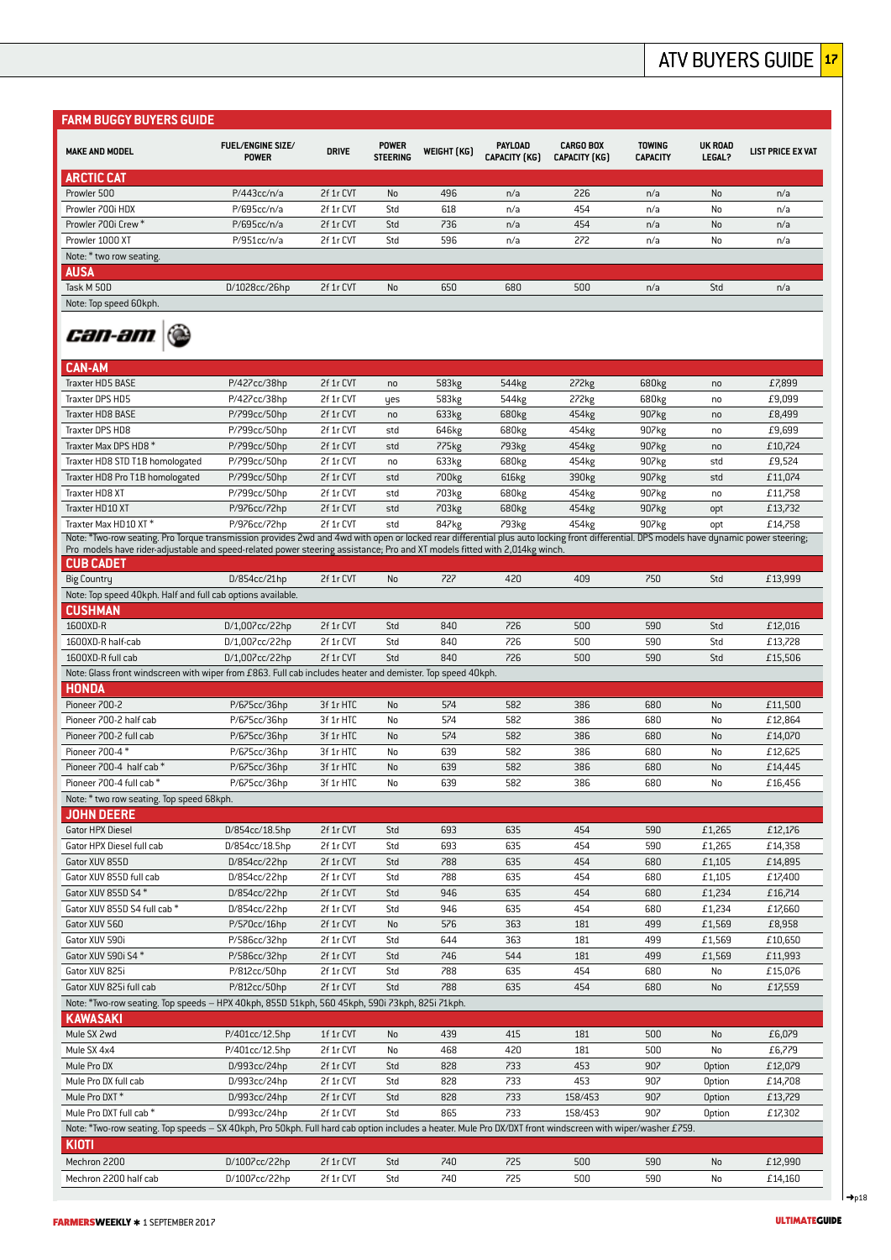#### **FARM BUGGY BUYERS GUIDE MAKE AND MODEL FUEL/ENGINE SIZE/ POWER WEIGHT** (KG) **PAYLOAD**<br>STEERING **WEIGHT** (KG) CAPACITY (K **CARGO BOX TOWING UK ROAD POWER DRIVE POWER LEGAL? LIST PRICE EX VAT CAPACITY (KG) CAPACITY (KG) CAPACITY ARCTIC CAT** Prowler 500 P/443cc/n/a 2f 1r CVT No 496 n/a 226 n/a No n/a Prowler 700i HDX P/695cc/n/a 2f 1r CVT Std 618 n/a 454 n/a No n/a Prowler 700i Crew \* P/695cc/n/a 2f 1r CVT Std 736 n/a 454 n/a No n/a Prowler 1000 XT P/951cc/n/a 2f 1r CVT Std 596 n/a 272 n/a No n/a Note: \* two row seating. **AUSA** Task M 50D D/1028cc/26hp 2f 1r CVT No 650 680 500 n/a Std n/a Note: Top speed 60kph. *can-am (@* **CAN-AM** Traxter HD5 BASE P/427cc/38hp 2f 1r CVT no 583kg 544kg 272kg 680kg no £7,899 Traxter DPS HD5 P/427cc/38hp 2f 1r CVT yes 583kg 544kg 272kg 680kg no £9,099 Traxter HD8 BASE P/799cc/50hp 2f 1r CVT no 633kg 680kg 454kg 907kg no £8,499 Traxter DPS HD8 P/799cc/50hp 2f 1r CVT std 646kg 680kg 454kg 907kg no £9,699 Traxter Max DPS HD8 \* P/799cc/50hp 2f 1r CVT std 775kg 793kg 454kg 907kg no £10,724 Traxter HD8 STD T1B homologated P/799cc/50hp 2f 1r CVT no 633kg 680kg 454kg 907kg std £9,524 Traxter HD8 Pro T1B homologated P/799cc/50hp 2f 1r CVT std 700kg 616kg 390kg 907kg std £11,074 Traxter HD8 XT P/799cc/50hp 2f 1r CVT std 703kg 680kg 454kg 907kg no £11,758 Traxter HD10 XT P/976cc/72hp 2f 1r CVT std 703kg 680kg 454kg 907kg opt £13,732 Traxter Max HD10 XT \* P/976cc/72hp 2f 1r CVT std 847kg 793kg 454kg 907kg opt £14,758 Note: \*Two-row seating. Pro Torque transmission provides 2wd and 4wd with open or locked rear differential plus auto locking front differential. DPS models have dynamic power steering; Pro models have rider-adjustable and speed-related power steering assistance; Pro and XT models fitted with 2,014kg winch. **CUB CADET** Big Country D/854cc/21hp 2f 1r CVT No 727 420 409 750 Std £13,999 Note: Top speed 40kph. Half and full cab options available. **CUSHMAN** 1600XD-R D/1,007cc/22hp 2f 1r CVT Std 840 726 500 590 Std £12,016 1600XD-R half-cab D/1,007cc/22hp 2f 1r CVT Std 840 726 500 590 Std £13,728 1600XD-R full cab D/1,007cc/22hp 2f 1r CVT Std 840 726 500 590 Std £15,506 Note: Glass front windscreen with wiper from £863. Full cab includes heater and demister. Top speed 40kph. **HONDA** Pioneer 700-2 P/675cc/36hp 3f 1r HTC No 574 582 386 680 No £11,500 Pioneer 700-2 half cab P/675cc/36hp 3f 1r HTC No 574 582 386 680 No £12,864 Pioneer 700-2 full cab P/675cc/36hp 3f 1r HTC No 574 582 386 680 No £14,070 Pioneer 700-4 \* P/675cc/36hp 3f 1r HTC No 639 582 386 680 No £12,625 Pioneer 700-4 half cab \* P/675cc/36hp 3f 1r HTC No 639 582 386 680 No £14,445 Pioneer 700-4 full cab \* P/675cc/36hp 3f 1r HTC No 639 582 386 680 No £16,456 Note: \* two row seating. Top speed 68kph. **JOHN DEERE** Gator HPX Diesel D/854cc/18.5hp 2f 1r CVT Std 693 635 454 590 £1,265 £12,176 Gator HPX Diesel full cab  $D/854$ cc/18.5hp  $2f 1r$  CVT Std 693 635 454 590 £1,265 £14,358 Gator XUV 855D D/854cc/22hp 2f 1r CVT Std 788 635 454 680 £1,105 £14,895 Gator XUV 855D full cab D/854cc/22hp 2f 1r CVT Std 788 635 454 680 £1,105 £17,400 Gator XUV 855D S4 \* D/854cc/22hp 2f 1r CVT Std 946 635 454 680 £1,234 £16,714 Gator XUV 855D S4 full cab \* D/854cc/22hp 2f 1r CVT Std 946 635 454 680 £1,234 £17,660 Gator XUV 560 P/570cc/16hp 2f 1r CVT No 576 363 181 499 £1,569 £8,958 Gator XUV 590i P/586cc/32hp 2f 1r CVT Std 644 363 181 499 £1,569 £10,650 Gator XUV 590i S4 \* P/586cc/32hp 2f 1r CVT Std 746 544 181 499 £1,569 £11,993 Gator XUV 825i P/812cc/50hp 2f 1r CVT Std 788 635 454 680 No £15,076 Gator XUV 825i full cab P/812cc/50hp 2f 1r CVT Std 788 635 454 680 No £17,559 Note: \*Two-row seating. Top speeds – HPX 40kph, 855D 51kph, 560 45kph, 590i 73kph, 825i 71kph. **KAWASAKI** Mule SX 2wd P/401cc/12.5hp 1f 1r CVT No 439 415 181 500 No £6,079 Mule SX 4x4 P/401cc/12.5hp 2f 1r CVT No 468 420 181 500 No £6,779 Mule Pro DX D/993cc/24hp 2f 1r CVT Std 828 733 453 907 Option £12,079 Mule Pro DX full cab D/993cc/24hp 2f 1r CVT Std 828 733 453 907 Option £14,708 Mule Pro DXT \* D/993cc/24hp 2f 1r CVT Std 828 733 158/453 907 Option £13,729 Mule Pro DXT full cab \* D/993cc/24hp 2f 1r CVT Std 865 733 158/453 907 Option £17,302 Note: \*Two-row seating. Top speeds - SX 40kph, Pro 50kph. Full hard cab option includes a heater. Mule Pro DX/DXT front windscreen with wiper/washer £759. **KIOTI** Mechron 2200 D/1007cc/22hp 2f 1r CVT Std 740 725 500 590 No £12,990

Mechron 2200 half cab D/1007cc/22hp 2f 1r CVT Std 740 725 500 590 No £14,160

 $m18$